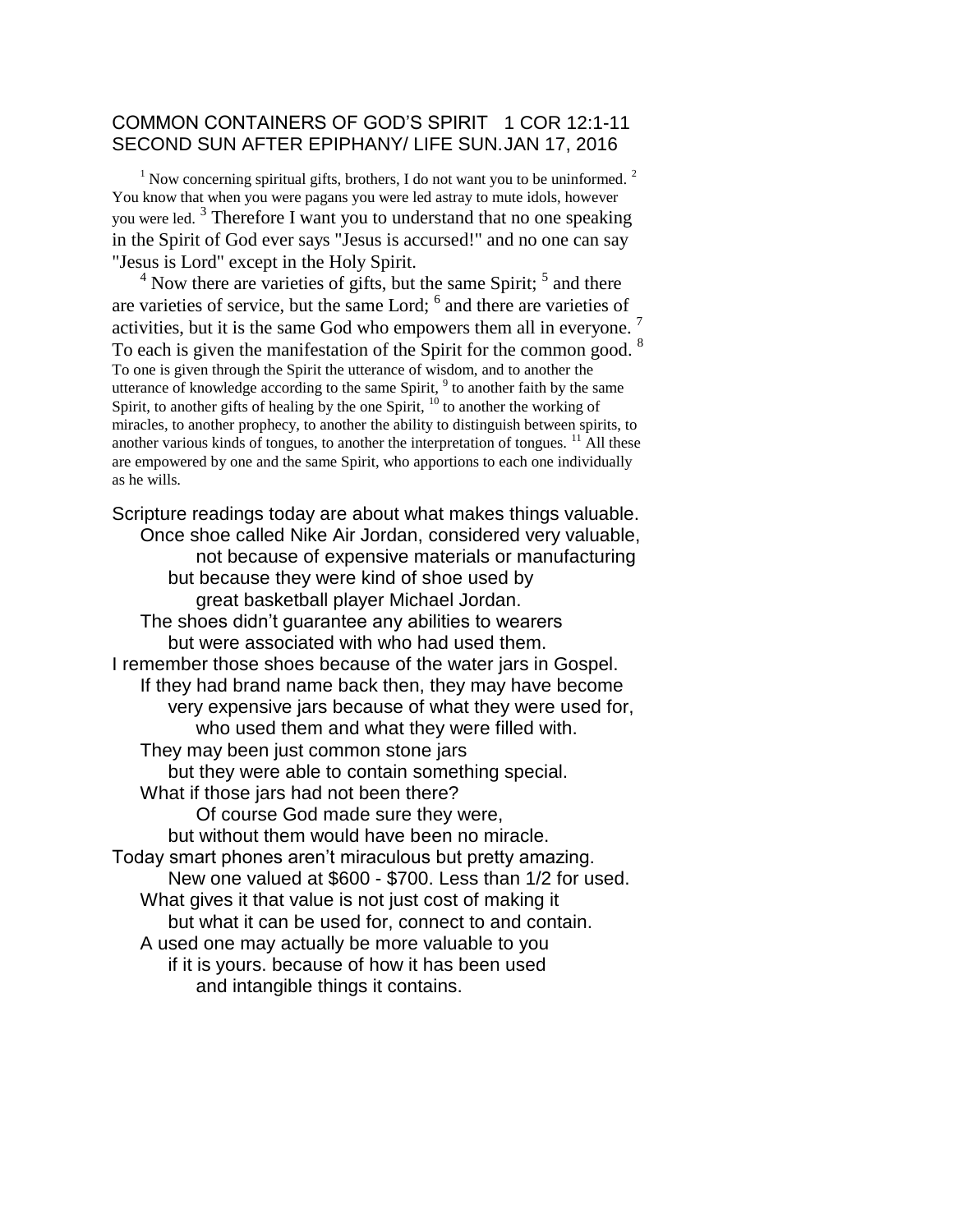## COMMON CONTAINERS OF GOD'S SPIRIT 1 COR 12:1-11 SECOND SUN AFTER EPIPHANY/ LIFE SUN.JAN 17, 2016

 $1$  Now concerning spiritual gifts, brothers, I do not want you to be uninformed.  $2$ You know that when you were pagans you were led astray to mute idols, however you were led.<sup>3</sup> Therefore I want you to understand that no one speaking in the Spirit of God ever says "Jesus is accursed!" and no one can say "Jesus is Lord" except in the Holy Spirit.

 $4$  Now there are varieties of gifts, but the same Spirit;  $5$  and there are varieties of service, but the same Lord; <sup>6</sup> and there are varieties of activities, but it is the same God who empowers them all in everyone.<sup>7</sup> To each is given the manifestation of the Spirit for the common good. <sup>8</sup> To one is given through the Spirit the utterance of wisdom, and to another the utterance of knowledge according to the same Spirit,  $9$  to another faith by the same Spirit, to another gifts of healing by the one Spirit,  $^{10}$  to another the working of miracles, to another prophecy, to another the ability to distinguish between spirits, to another various kinds of tongues, to another the interpretation of tongues.  $\frac{11}{11}$  All these are empowered by one and the same Spirit, who apportions to each one individually as he wills.

Scripture readings today are about what makes things valuable. Once shoe called Nike Air Jordan, considered very valuable, not because of expensive materials or manufacturing but because they were kind of shoe used by great basketball player Michael Jordan. The shoes didn't guarantee any abilities to wearers but were associated with who had used them. I remember those shoes because of the water jars in Gospel. If they had brand name back then, they may have become very expensive jars because of what they were used for, who used them and what they were filled with. They may been just common stone jars but they were able to contain something special. What if those jars had not been there? Of course God made sure they were, but without them would have been no miracle. Today smart phones aren't miraculous but pretty amazing. New one valued at \$600 - \$700. Less than 1/2 for used. What gives it that value is not just cost of making it but what it can be used for, connect to and contain. A used one may actually be more valuable to you if it is yours. because of how it has been used and intangible things it contains.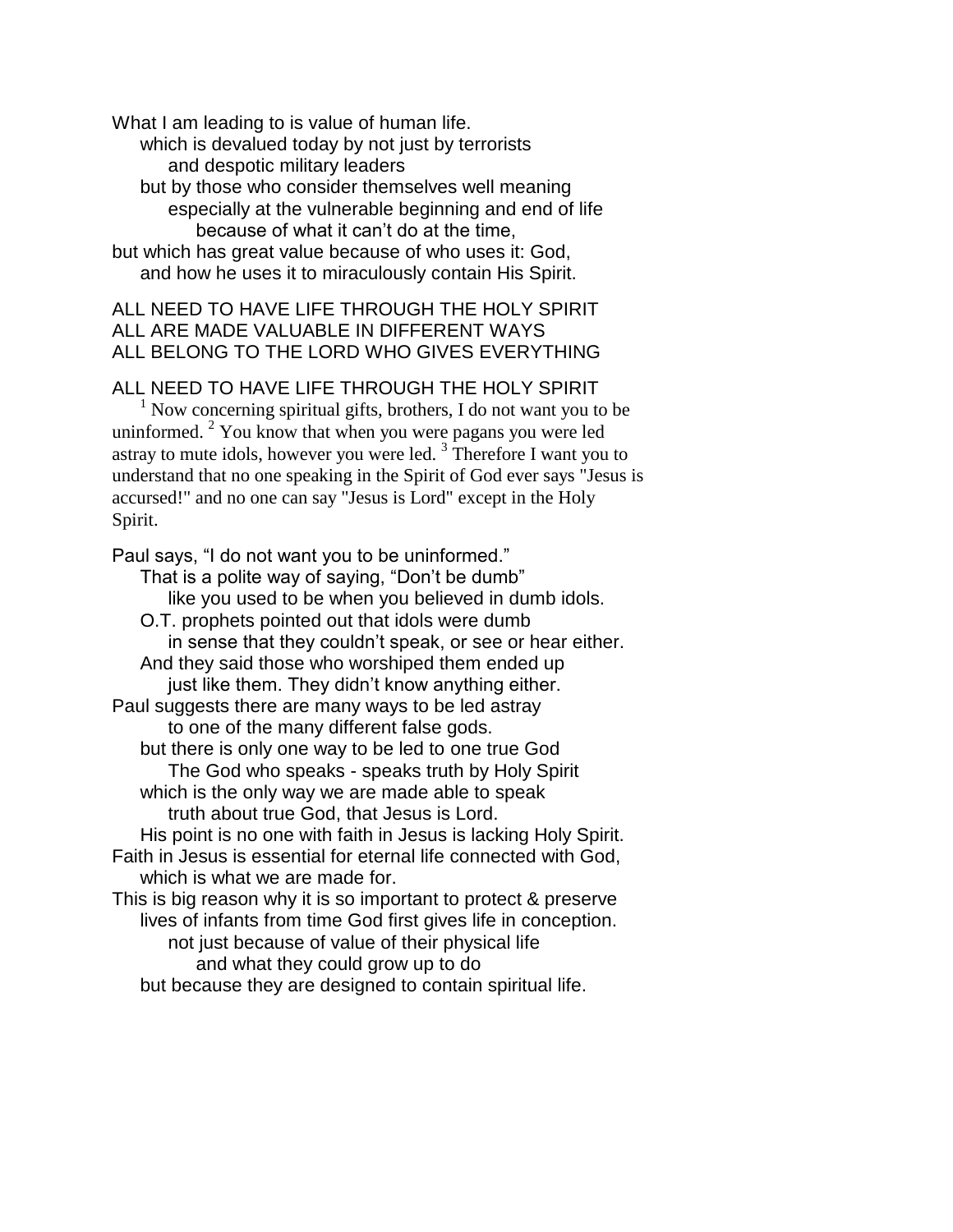What I am leading to is value of human life. which is devalued today by not just by terrorists and despotic military leaders but by those who consider themselves well meaning especially at the vulnerable beginning and end of life because of what it can't do at the time, but which has great value because of who uses it: God, and how he uses it to miraculously contain His Spirit.

## ALL NEED TO HAVE LIFE THROUGH THE HOLY SPIRIT ALL ARE MADE VALUABLE IN DIFFERENT WAYS ALL BELONG TO THE LORD WHO GIVES EVERYTHING

ALL NEED TO HAVE LIFE THROUGH THE HOLY SPIRIT

 $1$  Now concerning spiritual gifts, brothers, I do not want you to be uninformed.  $2$  You know that when you were pagans you were led astray to mute idols, however you were led.<sup>3</sup> Therefore I want you to understand that no one speaking in the Spirit of God ever says "Jesus is accursed!" and no one can say "Jesus is Lord" except in the Holy Spirit.

Paul says, "I do not want you to be uninformed." That is a polite way of saying, "Don't be dumb" like you used to be when you believed in dumb idols. O.T. prophets pointed out that idols were dumb in sense that they couldn't speak, or see or hear either. And they said those who worshiped them ended up just like them. They didn't know anything either. Paul suggests there are many ways to be led astray to one of the many different false gods. but there is only one way to be led to one true God The God who speaks - speaks truth by Holy Spirit which is the only way we are made able to speak truth about true God, that Jesus is Lord. His point is no one with faith in Jesus is lacking Holy Spirit. Faith in Jesus is essential for eternal life connected with God, which is what we are made for. This is big reason why it is so important to protect & preserve lives of infants from time God first gives life in conception. not just because of value of their physical life and what they could grow up to do but because they are designed to contain spiritual life.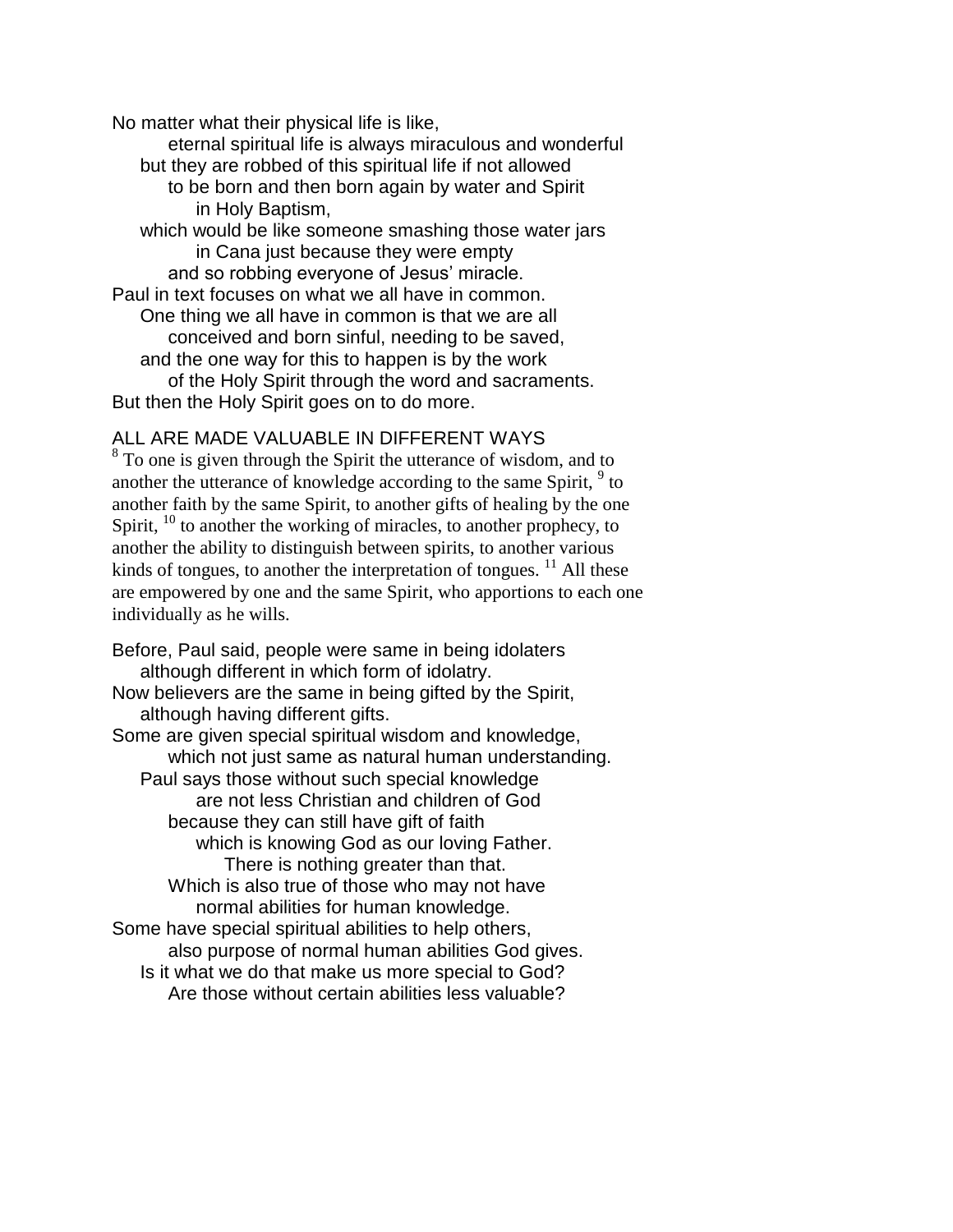No matter what their physical life is like,

eternal spiritual life is always miraculous and wonderful but they are robbed of this spiritual life if not allowed to be born and then born again by water and Spirit in Holy Baptism, which would be like someone smashing those water jars in Cana just because they were empty and so robbing everyone of Jesus' miracle. Paul in text focuses on what we all have in common. One thing we all have in common is that we are all

conceived and born sinful, needing to be saved, and the one way for this to happen is by the work of the Holy Spirit through the word and sacraments.

But then the Holy Spirit goes on to do more.

## ALL ARE MADE VALUABLE IN DIFFERENT WAYS

 $8<sup>8</sup>$  To one is given through the Spirit the utterance of wisdom, and to another the utterance of knowledge according to the same Spirit,  $9$  to another faith by the same Spirit, to another gifts of healing by the one Spirit,  $^{10}$  to another the working of miracles, to another prophecy, to another the ability to distinguish between spirits, to another various kinds of tongues, to another the interpretation of tongues. <sup>11</sup> All these are empowered by one and the same Spirit, who apportions to each one individually as he wills.

Before, Paul said, people were same in being idolaters although different in which form of idolatry. Now believers are the same in being gifted by the Spirit, although having different gifts. Some are given special spiritual wisdom and knowledge, which not just same as natural human understanding. Paul says those without such special knowledge are not less Christian and children of God because they can still have gift of faith which is knowing God as our loving Father. There is nothing greater than that. Which is also true of those who may not have normal abilities for human knowledge. Some have special spiritual abilities to help others, also purpose of normal human abilities God gives. Is it what we do that make us more special to God? Are those without certain abilities less valuable?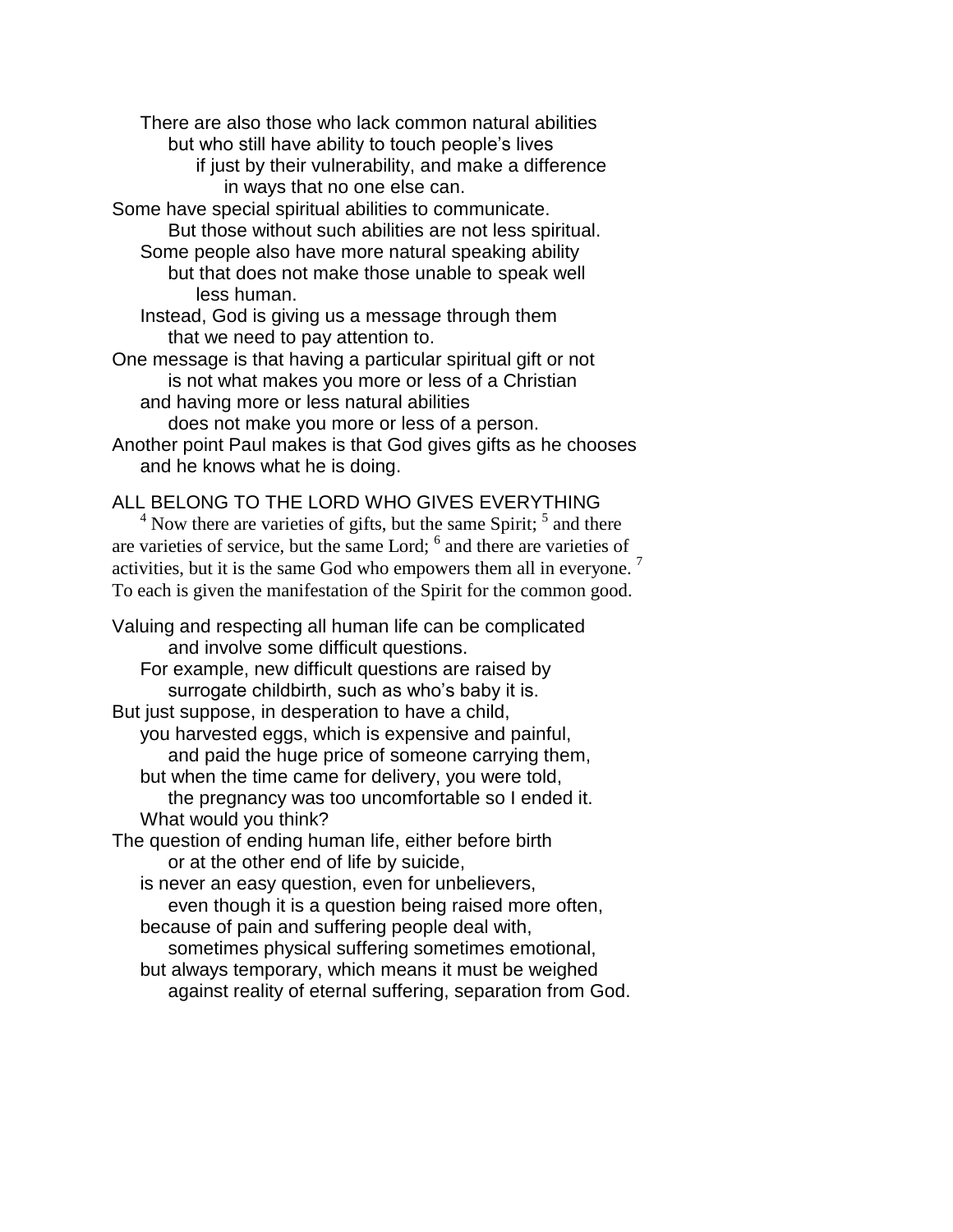There are also those who lack common natural abilities but who still have ability to touch people's lives

if just by their vulnerability, and make a difference in ways that no one else can.

Some have special spiritual abilities to communicate. But those without such abilities are not less spiritual.

Some people also have more natural speaking ability but that does not make those unable to speak well less human.

Instead, God is giving us a message through them that we need to pay attention to.

One message is that having a particular spiritual gift or not is not what makes you more or less of a Christian and having more or less natural abilities

does not make you more or less of a person.

Another point Paul makes is that God gives gifts as he chooses and he knows what he is doing.

## ALL BELONG TO THE LORD WHO GIVES EVERYTHING

 $4$  Now there are varieties of gifts, but the same Spirit;  $5$  and there are varieties of service, but the same Lord; <sup>6</sup> and there are varieties of activities, but it is the same God who empowers them all in everyone.<sup>7</sup> To each is given the manifestation of the Spirit for the common good.

Valuing and respecting all human life can be complicated and involve some difficult questions.

For example, new difficult questions are raised by surrogate childbirth, such as who's baby it is.

But just suppose, in desperation to have a child, you harvested eggs, which is expensive and painful, and paid the huge price of someone carrying them, but when the time came for delivery, you were told,

the pregnancy was too uncomfortable so I ended it. What would you think?

The question of ending human life, either before birth or at the other end of life by suicide,

is never an easy question, even for unbelievers, even though it is a question being raised more often,

because of pain and suffering people deal with,

sometimes physical suffering sometimes emotional,

but always temporary, which means it must be weighed against reality of eternal suffering, separation from God.